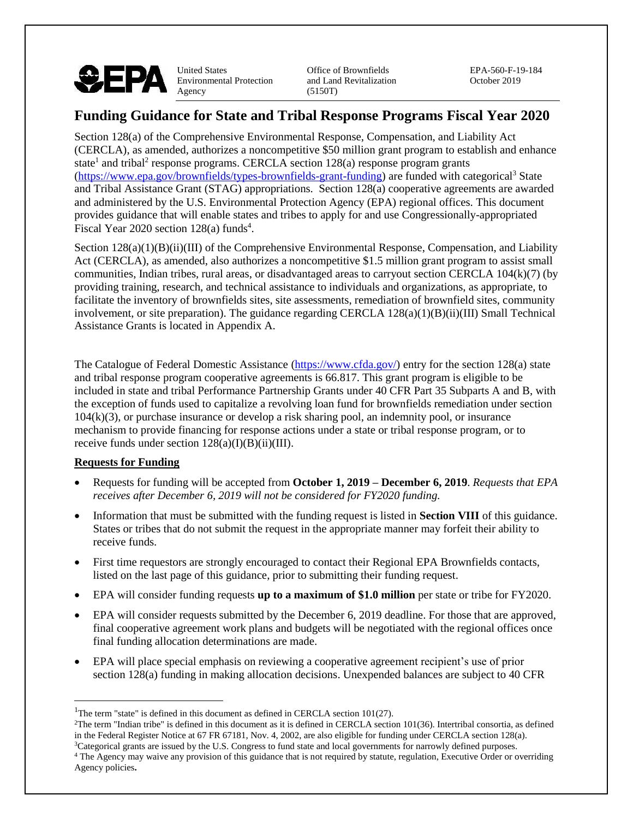

United States Office of Brownfields EPA-560-F-19-184 Environmental Protection and Land Revitalization October 2019<br>Agency (5150T)  $(5150T)$ 

# **Funding Guidance for State and Tribal Response Programs Fiscal Year 2020**

Section 128(a) of the Comprehensive Environmental Response, Compensation, and Liability Act (CERCLA), as amended, authorizes a noncompetitive \$50 million grant program to establish and enhance state<sup>1</sup> and tribal<sup>2</sup> response programs. CERCLA section 128(a) response program grants [\(https://www.epa.gov/brownfields/types-brownfields-grant-funding\)](https://www.epa.gov/brownfields/types-brownfields-grant-funding) are funded with categorical<sup>3</sup> State and Tribal Assistance Grant (STAG) appropriations. Section 128(a) cooperative agreements are awarded and administered by the U.S. Environmental Protection Agency (EPA) regional offices. This document provides guidance that will enable states and tribes to apply for and use Congressionally-appropriated Fiscal Year 2020 section  $128(a)$  funds<sup>4</sup>.

Section 128(a)(1)(B)(ii)(III) of the Comprehensive Environmental Response, Compensation, and Liability Act (CERCLA), as amended, also authorizes a noncompetitive \$1.5 million grant program to assist small communities, Indian tribes, rural areas, or disadvantaged areas to carryout section CERCLA 104(k)(7) (by providing training, research, and technical assistance to individuals and organizations, as appropriate, to facilitate the inventory of brownfields sites, site assessments, remediation of brownfield sites, community involvement, or site preparation). The guidance regarding CERCLA 128(a)(1)(B)(ii)(III) Small Technical Assistance Grants is located in Appendix A.

The Catalogue of Federal Domestic Assistance [\(https://www.cfda.gov/\)](https://www.cfda.gov/) entry for the section 128(a) state and tribal response program cooperative agreements is 66.817. This grant program is eligible to be included in state and tribal Performance Partnership Grants under 40 CFR Part 35 Subparts A and B, with the exception of funds used to capitalize a revolving loan fund for brownfields remediation under section 104(k)(3), or purchase insurance or develop a risk sharing pool, an indemnity pool, or insurance mechanism to provide financing for response actions under a state or tribal response program, or to receive funds under section  $128(a)(I)(B)(ii)(III)$ .

#### **Requests for Funding**

- Requests for funding will be accepted from **October 1, 2019 – December 6, 2019**. *Requests that EPA receives after December 6, 2019 will not be considered for FY2020 funding.*
- Information that must be submitted with the funding request is listed in **Section VIII** of this guidance. States or tribes that do not submit the request in the appropriate manner may forfeit their ability to receive funds.
- First time requestors are strongly encouraged to contact their Regional EPA Brownfields contacts, listed on the last page of this guidance, prior to submitting their funding request.
- EPA will consider funding requests **up to a maximum of \$1.0 million** per state or tribe for FY2020.
- EPA will consider requests submitted by the December 6, 2019 deadline. For those that are approved, final cooperative agreement work plans and budgets will be negotiated with the regional offices once final funding allocation determinations are made.
- EPA will place special emphasis on reviewing a cooperative agreement recipient's use of prior section 128(a) funding in making allocation decisions. Unexpended balances are subject to 40 CFR

<sup>&</sup>lt;sup>1</sup>The term "state" is defined in this document as defined in CERCLA section 101(27).

 $2$ The term "Indian tribe" is defined in this document as it is defined in CERCLA section 101(36). Intertribal consortia, as defined in the Federal Register Notice at 67 FR 67181, Nov. 4, 2002, are also eligible for funding under CERCLA section 128(a). <sup>3</sup>Categorical grants are issued by the U.S. Congress to fund state and local governments for narrowly defined purposes.

<sup>&</sup>lt;sup>4</sup> The Agency may waive any provision of this guidance that is not required by statute, regulation, Executive Order or overriding Agency policies**.**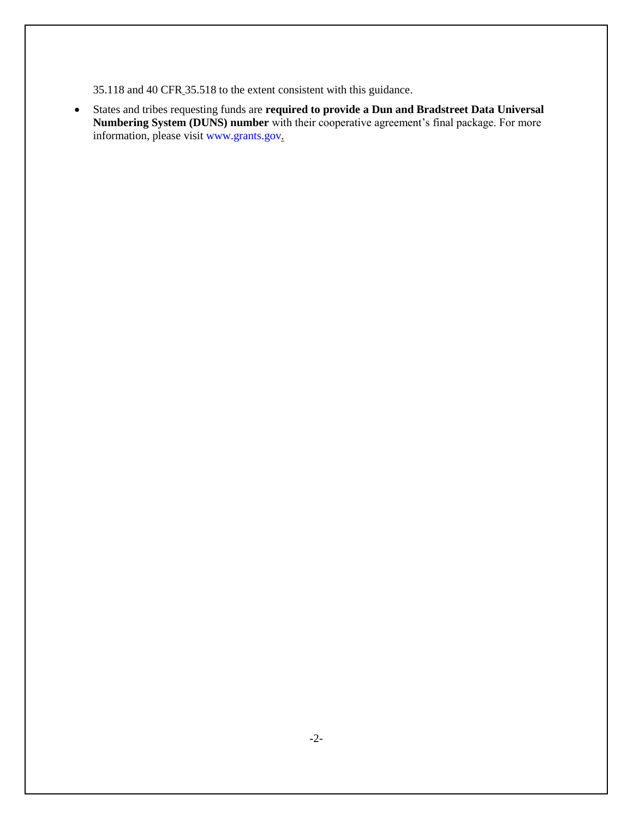35.118 and 40 CFR 35.518 to the extent consistent with this guidance.

• States and tribes requesting funds are **required to provide a Dun and Bradstreet Data Universal Numbering System (DUNS) number** with their cooperative agreement's final package. For more information, please visit www.grants.gov.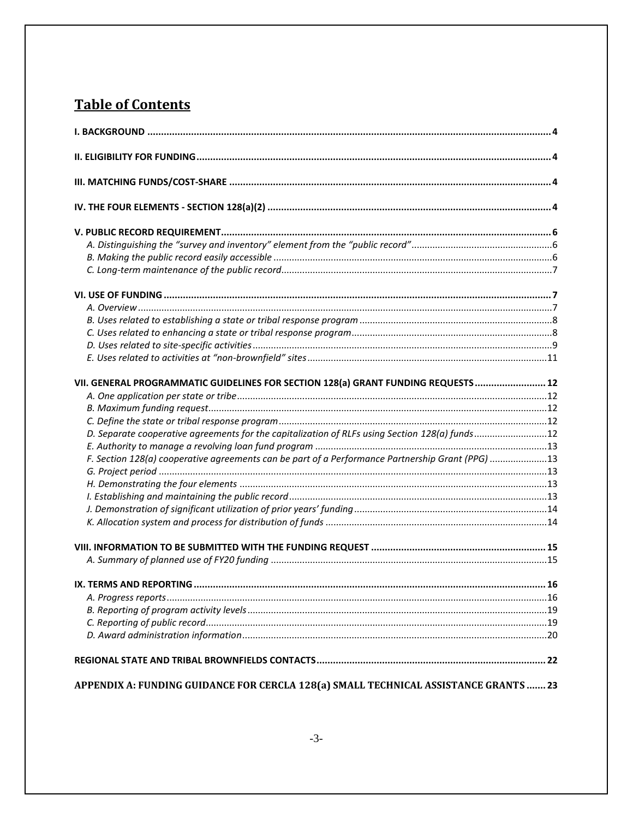# **Table of Contents**

| VII. GENERAL PROGRAMMATIC GUIDELINES FOR SECTION 128(a) GRANT FUNDING REQUESTS  12               |     |  |  |
|--------------------------------------------------------------------------------------------------|-----|--|--|
|                                                                                                  |     |  |  |
|                                                                                                  |     |  |  |
|                                                                                                  |     |  |  |
| D. Separate cooperative agreements for the capitalization of RLFs using Section 128(a) funds12   |     |  |  |
|                                                                                                  |     |  |  |
| F. Section 128(a) cooperative agreements can be part of a Performance Partnership Grant (PPG) 13 |     |  |  |
|                                                                                                  |     |  |  |
|                                                                                                  |     |  |  |
|                                                                                                  |     |  |  |
|                                                                                                  |     |  |  |
|                                                                                                  |     |  |  |
|                                                                                                  |     |  |  |
|                                                                                                  |     |  |  |
| IX. TERMS AND REPORTING                                                                          | 16. |  |  |
|                                                                                                  |     |  |  |
|                                                                                                  |     |  |  |
|                                                                                                  |     |  |  |
|                                                                                                  |     |  |  |
|                                                                                                  |     |  |  |
| APPENDIX A: FUNDING GUIDANCE FOR CERCLA 128(a) SMALL TECHNICAL ASSISTANCE GRANTS  23             |     |  |  |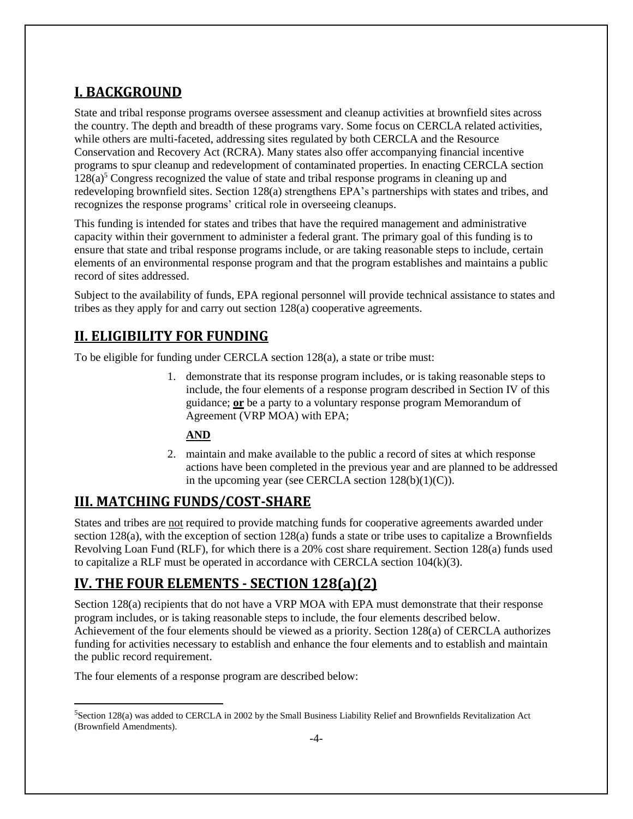# <span id="page-3-0"></span>**I. BACKGROUND**

State and tribal response programs oversee assessment and cleanup activities at brownfield sites across the country. The depth and breadth of these programs vary. Some focus on CERCLA related activities, while others are multi-faceted, addressing sites regulated by both CERCLA and the Resource Conservation and Recovery Act (RCRA). Many states also offer accompanying financial incentive programs to spur cleanup and redevelopment of contaminated properties. In enacting CERCLA section  $128(a)$ <sup>5</sup> Congress recognized the value of state and tribal response programs in cleaning up and redeveloping brownfield sites. Section 128(a) strengthens EPA's partnerships with states and tribes, and recognizes the response programs' critical role in overseeing cleanups.

This funding is intended for states and tribes that have the required management and administrative capacity within their government to administer a federal grant. The primary goal of this funding is to ensure that state and tribal response programs include, or are taking reasonable steps to include, certain elements of an environmental response program and that the program establishes and maintains a public record of sites addressed.

Subject to the availability of funds, EPA regional personnel will provide technical assistance to states and tribes as they apply for and carry out section 128(a) cooperative agreements.

# <span id="page-3-1"></span>**II. ELIGIBILITY FOR FUNDING**

To be eligible for funding under CERCLA section 128(a), a state or tribe must:

1. demonstrate that its response program includes, or is taking reasonable steps to include, the four elements of a response program described in Section IV of this guidance; **or** be a party to a voluntary response program Memorandum of Agreement (VRP MOA) with EPA;

#### **AND**

2. maintain and make available to the public a record of sites at which response actions have been completed in the previous year and are planned to be addressed in the upcoming year (see CERCLA section  $128(b)(1)(C)$ ).

# <span id="page-3-2"></span>**III. MATCHING FUNDS/COST-SHARE**

States and tribes are not required to provide matching funds for cooperative agreements awarded under section 128(a), with the exception of section 128(a) funds a state or tribe uses to capitalize a Brownfields Revolving Loan Fund (RLF), for which there is a 20% cost share requirement. Section 128(a) funds used to capitalize a RLF must be operated in accordance with CERCLA section  $104(k)(3)$ .

# <span id="page-3-3"></span>**IV. THE FOUR ELEMENTS - SECTION 128(a)(2)**

Section 128(a) recipients that do not have a VRP MOA with EPA must demonstrate that their response program includes, or is taking reasonable steps to include, the four elements described below. Achievement of the four elements should be viewed as a priority. Section 128(a) of CERCLA authorizes funding for activities necessary to establish and enhance the four elements and to establish and maintain the public record requirement.

The four elements of a response program are described below:

<sup>5</sup>Section 128(a) was added to CERCLA in 2002 by the Small Business Liability Relief and Brownfields Revitalization Act (Brownfield Amendments).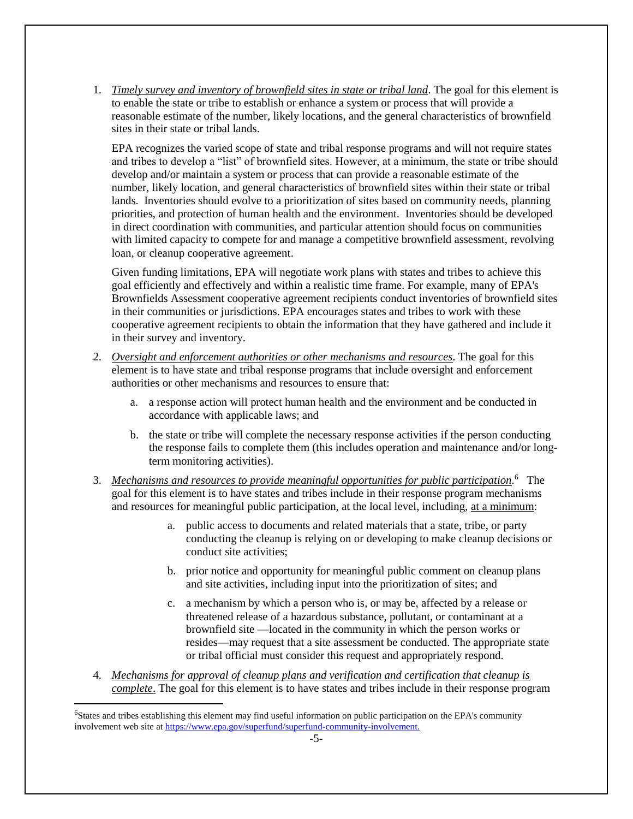1. *Timely survey and inventory of brownfield sites in state or tribal land*. The goal for this element is to enable the state or tribe to establish or enhance a system or process that will provide a reasonable estimate of the number, likely locations, and the general characteristics of brownfield sites in their state or tribal lands.

EPA recognizes the varied scope of state and tribal response programs and will not require states and tribes to develop a "list" of brownfield sites. However, at a minimum, the state or tribe should develop and/or maintain a system or process that can provide a reasonable estimate of the number, likely location, and general characteristics of brownfield sites within their state or tribal lands. Inventories should evolve to a prioritization of sites based on community needs, planning priorities, and protection of human health and the environment. Inventories should be developed in direct coordination with communities, and particular attention should focus on communities with limited capacity to compete for and manage a competitive brownfield assessment, revolving loan, or cleanup cooperative agreement.

Given funding limitations, EPA will negotiate work plans with states and tribes to achieve this goal efficiently and effectively and within a realistic time frame. For example, many of EPA's Brownfields Assessment cooperative agreement recipients conduct inventories of brownfield sites in their communities or jurisdictions. EPA encourages states and tribes to work with these cooperative agreement recipients to obtain the information that they have gathered and include it in their survey and inventory.

- 2. *Oversight and enforcement authorities or other mechanisms and resources.* The goal for this element is to have state and tribal response programs that include oversight and enforcement authorities or other mechanisms and resources to ensure that:
	- a. a response action will protect human health and the environment and be conducted in accordance with applicable laws; and
	- b. the state or tribe will complete the necessary response activities if the person conducting the response fails to complete them (this includes operation and maintenance and/or longterm monitoring activities).
- 3. *Mechanisms and resources to provide meaningful opportunities for public participation.* 6 The goal for this element is to have states and tribes include in their response program mechanisms and resources for meaningful public participation, at the local level, including, at a minimum:
	- a. public access to documents and related materials that a state, tribe, or party conducting the cleanup is relying on or developing to make cleanup decisions or conduct site activities;
	- b. prior notice and opportunity for meaningful public comment on cleanup plans and site activities, including input into the prioritization of sites; and
	- c. a mechanism by which a person who is, or may be, affected by a release or threatened release of a hazardous substance, pollutant, or contaminant at a brownfield site —located in the community in which the person works or resides—may request that a site assessment be conducted. The appropriate state or tribal official must consider this request and appropriately respond.
- 4. *Mechanisms for approval of cleanup plans and verification and certification that cleanup is complete*. The goal for this element is to have states and tribes include in their response program

<sup>6</sup>States and tribes establishing this element may find useful information on public participation on the EPA's community involvement web site at https://www.epa.gov/superfund/superfund-community-involvement.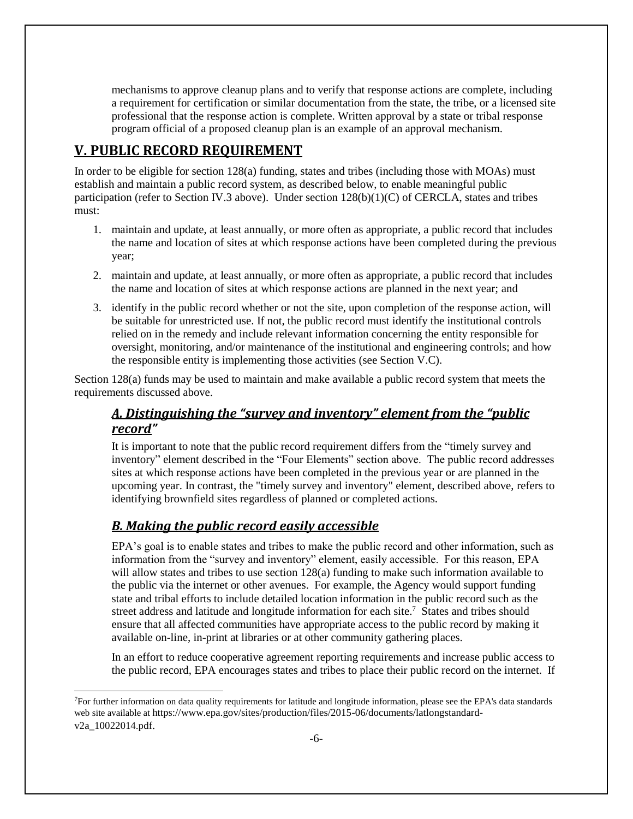mechanisms to approve cleanup plans and to verify that response actions are complete, including a requirement for certification or similar documentation from the state, the tribe, or a licensed site professional that the response action is complete. Written approval by a state or tribal response program official of a proposed cleanup plan is an example of an approval mechanism.

## <span id="page-5-0"></span>**V. PUBLIC RECORD REQUIREMENT**

In order to be eligible for section 128(a) funding, states and tribes (including those with MOAs) must establish and maintain a public record system, as described below, to enable meaningful public participation (refer to Section IV.3 above). Under section  $128(b)(1)(C)$  of CERCLA, states and tribes must:

- 1. maintain and update, at least annually, or more often as appropriate, a public record that includes the name and location of sites at which response actions have been completed during the previous year;
- 2. maintain and update, at least annually, or more often as appropriate, a public record that includes the name and location of sites at which response actions are planned in the next year; and
- 3. identify in the public record whether or not the site, upon completion of the response action, will be suitable for unrestricted use. If not, the public record must identify the institutional controls relied on in the remedy and include relevant information concerning the entity responsible for oversight, monitoring, and/or maintenance of the institutional and engineering controls; and how the responsible entity is implementing those activities (see Section V.C).

<span id="page-5-1"></span>Section 128(a) funds may be used to maintain and make available a public record system that meets the requirements discussed above.

## *A. Distinguishing the "survey and inventory" element from the "public record"*

It is important to note that the public record requirement differs from the "timely survey and inventory" element described in the "Four Elements" section above. The public record addresses sites at which response actions have been completed in the previous year or are planned in the upcoming year. In contrast, the "timely survey and inventory" element, described above, refers to identifying brownfield sites regardless of planned or completed actions.

#### <span id="page-5-2"></span>*B. Making the public record easily accessible*

l

EPA's goal is to enable states and tribes to make the public record and other information, such as information from the "survey and inventory" element, easily accessible. For this reason, EPA will allow states and tribes to use section 128(a) funding to make such information available to the public via the internet or other avenues. For example, the Agency would support funding state and tribal efforts to include detailed location information in the public record such as the street address and latitude and longitude information for each site.<sup>7</sup> States and tribes should ensure that all affected communities have appropriate access to the public record by making it available on-line, in-print at libraries or at other community gathering places.

In an effort to reduce cooperative agreement reporting requirements and increase public access to the public record, EPA encourages states and tribes to place their public record on the internet. If

<sup>7</sup>For further information on data quality requirements for latitude and longitude information, please see the EPA's data standards web site available at https://www.epa.gov/sites/production/files/2015-06/documents/latlongstandardv2a\_10022014.pdf.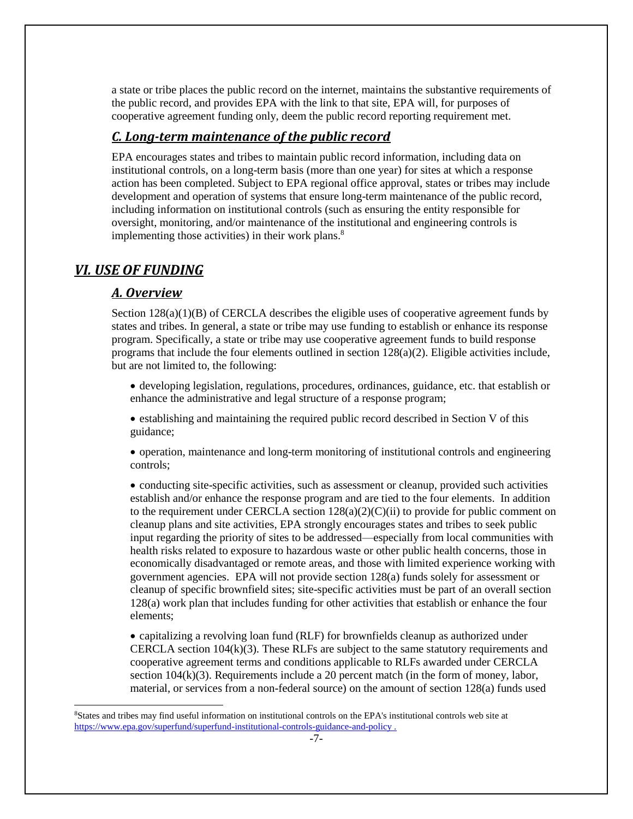a state or tribe places the public record on the internet, maintains the substantive requirements of the public record, and provides EPA with the link to that site, EPA will, for purposes of cooperative agreement funding only, deem the public record reporting requirement met.

#### <span id="page-6-0"></span>*C. Long-term maintenance of the public record*

EPA encourages states and tribes to maintain public record information, including data on institutional controls, on a long-term basis (more than one year) for sites at which a response action has been completed. Subject to EPA regional office approval, states or tribes may include development and operation of systems that ensure long-term maintenance of the public record, including information on institutional controls (such as ensuring the entity responsible for oversight, monitoring, and/or maintenance of the institutional and engineering controls is implementing those activities) in their work plans.<sup>8</sup>

#### <span id="page-6-2"></span><span id="page-6-1"></span>*VI. USE OF FUNDING*

l

#### *A. Overview*

Section  $128(a)(1)(B)$  of CERCLA describes the eligible uses of cooperative agreement funds by states and tribes. In general, a state or tribe may use funding to establish or enhance its response program. Specifically, a state or tribe may use cooperative agreement funds to build response programs that include the four elements outlined in section 128(a)(2). Eligible activities include, but are not limited to, the following:

• developing legislation, regulations, procedures, ordinances, guidance, etc. that establish or enhance the administrative and legal structure of a response program;

• establishing and maintaining the required public record described in Section V of this guidance;

• operation, maintenance and long-term monitoring of institutional controls and engineering controls;

• conducting site-specific activities, such as assessment or cleanup, provided such activities establish and/or enhance the response program and are tied to the four elements. In addition to the requirement under CERCLA section  $128(a)(2)(C)(ii)$  to provide for public comment on cleanup plans and site activities, EPA strongly encourages states and tribes to seek public input regarding the priority of sites to be addressed—especially from local communities with health risks related to exposure to hazardous waste or other public health concerns, those in economically disadvantaged or remote areas, and those with limited experience working with government agencies. EPA will not provide section 128(a) funds solely for assessment or cleanup of specific brownfield sites; site-specific activities must be part of an overall section 128(a) work plan that includes funding for other activities that establish or enhance the four elements;

• capitalizing a revolving loan fund (RLF) for brownfields cleanup as authorized under CERCLA section 104(k)(3). These RLFs are subject to the same statutory requirements and cooperative agreement terms and conditions applicable to RLFs awarded under CERCLA section  $104(k)(3)$ . Requirements include a 20 percent match (in the form of money, labor, material, or services from a non-federal source) on the amount of section 128(a) funds used

<sup>8</sup>States and tribes may find useful information on institutional controls on the EPA's institutional controls web site at <https://www.epa.gov/superfund/superfund-institutional-controls-guidance-and-policy> .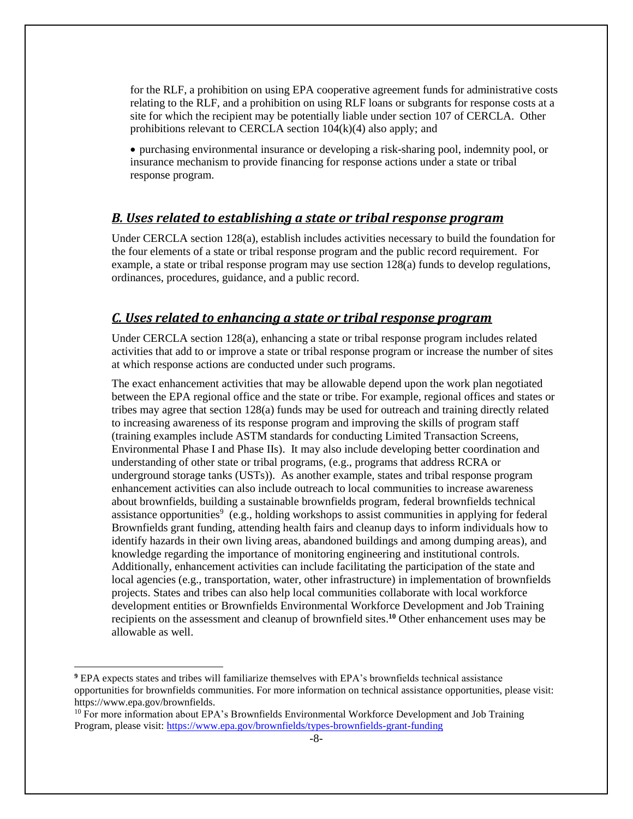for the RLF, a prohibition on using EPA cooperative agreement funds for administrative costs relating to the RLF, and a prohibition on using RLF loans or subgrants for response costs at a site for which the recipient may be potentially liable under section 107 of CERCLA. Other prohibitions relevant to CERCLA section 104(k)(4) also apply; and

• purchasing environmental insurance or developing a risk-sharing pool, indemnity pool, or insurance mechanism to provide financing for response actions under a state or tribal response program.

#### <span id="page-7-0"></span>*B. Uses related to establishing a state or tribal response program*

Under CERCLA section 128(a), establish includes activities necessary to build the foundation for the four elements of a state or tribal response program and the public record requirement. For example, a state or tribal response program may use section 128(a) funds to develop regulations, ordinances, procedures, guidance, and a public record.

#### <span id="page-7-1"></span>*C. Uses related to enhancing a state or tribal response program*

Under CERCLA section 128(a), enhancing a state or tribal response program includes related activities that add to or improve a state or tribal response program or increase the number of sites at which response actions are conducted under such programs.

The exact enhancement activities that may be allowable depend upon the work plan negotiated between the EPA regional office and the state or tribe. For example, regional offices and states or tribes may agree that section 128(a) funds may be used for outreach and training directly related to increasing awareness of its response program and improving the skills of program staff (training examples include ASTM standards for conducting Limited Transaction Screens, Environmental Phase I and Phase IIs). It may also include developing better coordination and understanding of other state or tribal programs, (e.g., programs that address RCRA or underground storage tanks (USTs)). As another example, states and tribal response program enhancement activities can also include outreach to local communities to increase awareness about brownfields, building a sustainable brownfields program, federal brownfields technical assistance opportunities<sup>9</sup> (e.g., holding workshops to assist communities in applying for federal Brownfields grant funding, attending health fairs and cleanup days to inform individuals how to identify hazards in their own living areas, abandoned buildings and among dumping areas), and knowledge regarding the importance of monitoring engineering and institutional controls. Additionally, enhancement activities can include facilitating the participation of the state and local agencies (e.g., transportation, water, other infrastructure) in implementation of brownfields projects. States and tribes can also help local communities collaborate with local workforce development entities or Brownfields Environmental Workforce Development and Job Training recipients on the assessment and cleanup of brownfield sites. **<sup>10</sup>** Other enhancement uses may be allowable as well.

**<sup>9</sup>** EPA expects states and tribes will familiarize themselves with EPA's brownfields technical assistance opportunities for brownfields communities. For more information on technical assistance opportunities, please visit: https://www.epa.gov/brownfields.

<sup>&</sup>lt;sup>10</sup> For more information about EPA's Brownfields Environmental Workforce Development and Job Training Program, please visit:<https://www.epa.gov/brownfields/types-brownfields-grant-funding>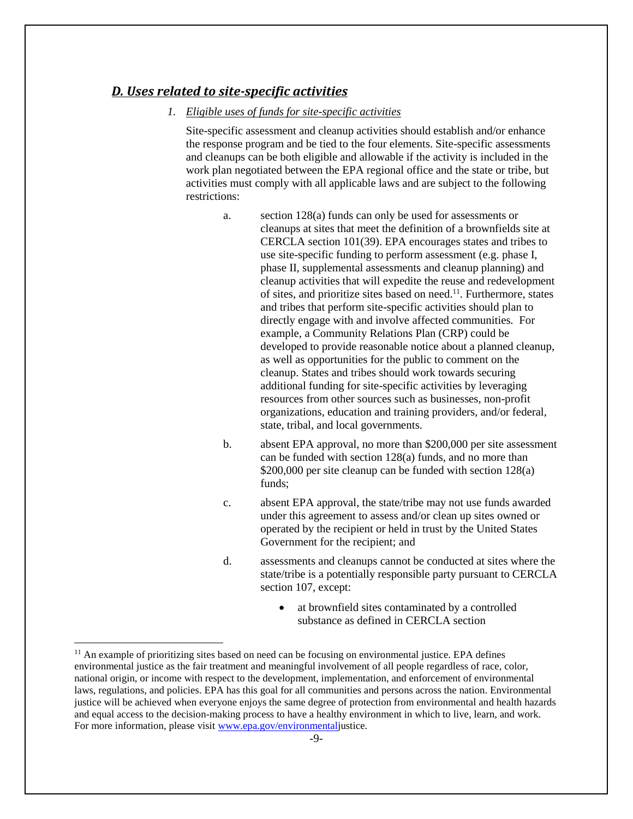#### <span id="page-8-0"></span>*D. Uses related to site-specific activities*

#### *1. Eligible uses of funds for site-specific activities*

Site-specific assessment and cleanup activities should establish and/or enhance the response program and be tied to the four elements. Site-specific assessments and cleanups can be both eligible and allowable if the activity is included in the work plan negotiated between the EPA regional office and the state or tribe, but activities must comply with all applicable laws and are subject to the following restrictions:

- a. section 128(a) funds can only be used for assessments or cleanups at sites that meet the definition of a brownfields site at CERCLA section 101(39). EPA encourages states and tribes to use site-specific funding to perform assessment (e.g. phase I, phase II, supplemental assessments and cleanup planning) and cleanup activities that will expedite the reuse and redevelopment of sites, and prioritize sites based on need.<sup>11</sup>. Furthermore, states and tribes that perform site-specific activities should plan to directly engage with and involve affected communities. For example, a Community Relations Plan (CRP) could be developed to provide reasonable notice about a planned cleanup, as well as opportunities for the public to comment on the cleanup. States and tribes should work towards securing additional funding for site-specific activities by leveraging resources from other sources such as businesses, non-profit organizations, education and training providers, and/or federal, state, tribal, and local governments.
- b. absent EPA approval, no more than \$200,000 per site assessment can be funded with section 128(a) funds, and no more than \$200,000 per site cleanup can be funded with section 128(a) funds;
- c. absent EPA approval, the state/tribe may not use funds awarded under this agreement to assess and/or clean up sites owned or operated by the recipient or held in trust by the United States Government for the recipient; and
- d. assessments and cleanups cannot be conducted at sites where the state/tribe is a potentially responsible party pursuant to CERCLA section 107, except:
	- at brownfield sites contaminated by a controlled substance as defined in CERCLA section

<sup>&</sup>lt;sup>11</sup> An example of prioritizing sites based on need can be focusing on environmental justice. EPA defines environmental justice as the fair treatment and meaningful involvement of all people regardless of race, color, national origin, or income with respect to the development, implementation, and enforcement of environmental laws, regulations, and policies. EPA has this goal for all communities and persons across the nation. Environmental justice will be achieved when everyone enjoys the same degree of protection from environmental and health hazards and equal access to the decision-making process to have a healthy environment in which to live, learn, and work. For more information, please visit [www.epa.gov/environmentalj](http://www.epa.gov/environmental)ustice.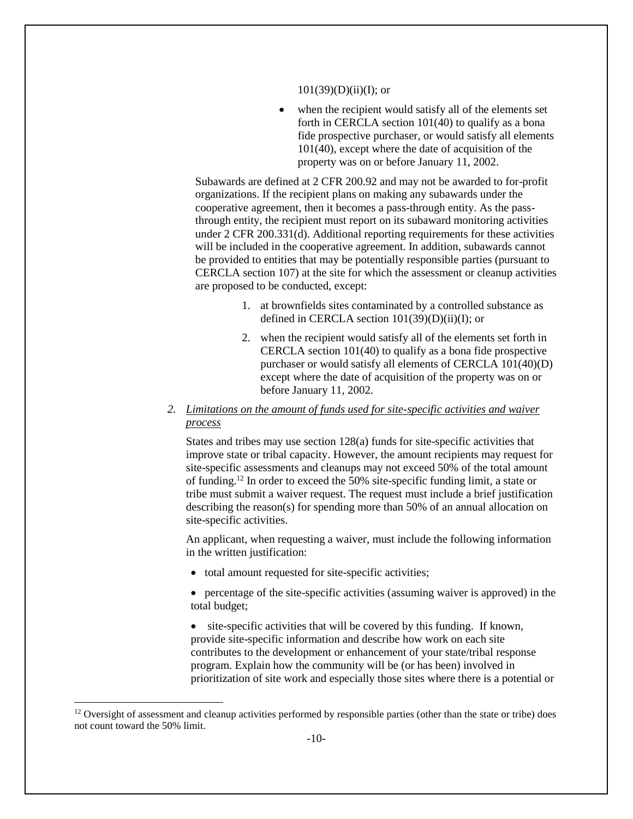#### $101(39)(D)(ii)(I);$  or

when the recipient would satisfy all of the elements set forth in CERCLA section 101(40) to qualify as a bona fide prospective purchaser, or would satisfy all elements 101(40), except where the date of acquisition of the property was on or before January 11, 2002.

Subawards are defined at 2 CFR 200.92 and may not be awarded to for-profit organizations. If the recipient plans on making any subawards under the cooperative agreement, then it becomes a pass-through entity. As the passthrough entity, the recipient must report on its subaward monitoring activities under 2 CFR 200.331(d). Additional reporting requirements for these activities will be included in the cooperative agreement. In addition, subawards cannot be provided to entities that may be potentially responsible parties (pursuant to CERCLA section 107) at the site for which the assessment or cleanup activities are proposed to be conducted, except:

- 1. at brownfields sites contaminated by a controlled substance as defined in CERCLA section 101(39)(D)(ii)(I); or
- 2. when the recipient would satisfy all of the elements set forth in CERCLA section 101(40) to qualify as a bona fide prospective purchaser or would satisfy all elements of CERCLA 101(40)(D) except where the date of acquisition of the property was on or before January 11, 2002.
- *2. Limitations on the amount of funds used for site-specific activities and waiver process*

States and tribes may use section 128(a) funds for site-specific activities that improve state or tribal capacity. However, the amount recipients may request for site-specific assessments and cleanups may not exceed 50% of the total amount of funding. <sup>12</sup> In order to exceed the 50% site-specific funding limit, a state or tribe must submit a waiver request. The request must include a brief justification describing the reason(s) for spending more than 50% of an annual allocation on site-specific activities.

An applicant, when requesting a waiver, must include the following information in the written justification:

• total amount requested for site-specific activities;

• percentage of the site-specific activities (assuming waiver is approved) in the total budget;

• site-specific activities that will be covered by this funding. If known, provide site-specific information and describe how work on each site contributes to the development or enhancement of your state/tribal response program. Explain how the community will be (or has been) involved in prioritization of site work and especially those sites where there is a potential or

 $12$  Oversight of assessment and cleanup activities performed by responsible parties (other than the state or tribe) does not count toward the 50% limit.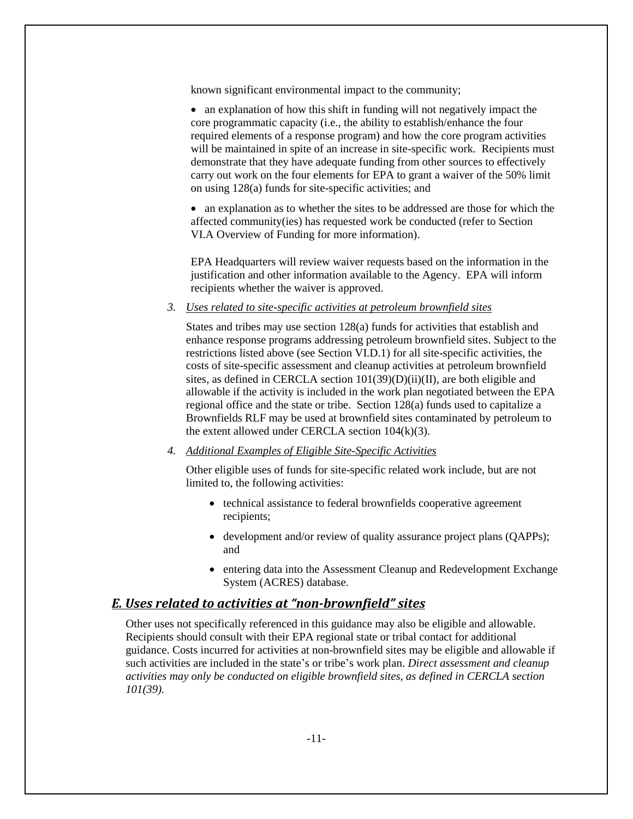known significant environmental impact to the community;

• an explanation of how this shift in funding will not negatively impact the core programmatic capacity (i.e., the ability to establish/enhance the four required elements of a response program) and how the core program activities will be maintained in spite of an increase in site-specific work. Recipients must demonstrate that they have adequate funding from other sources to effectively carry out work on the four elements for EPA to grant a waiver of the 50% limit on using 128(a) funds for site-specific activities; and

• an explanation as to whether the sites to be addressed are those for which the affected community(ies) has requested work be conducted (refer to Section VI.A Overview of Funding for more information).

EPA Headquarters will review waiver requests based on the information in the justification and other information available to the Agency. EPA will inform recipients whether the waiver is approved.

*3. Uses related to site-specific activities at petroleum brownfield sites*

States and tribes may use section 128(a) funds for activities that establish and enhance response programs addressing petroleum brownfield sites. Subject to the restrictions listed above (see Section VI.D.1) for all site-specific activities, the costs of site-specific assessment and cleanup activities at petroleum brownfield sites, as defined in CERCLA section 101(39)(D)(ii)(II), are both eligible and allowable if the activity is included in the work plan negotiated between the EPA regional office and the state or tribe. Section 128(a) funds used to capitalize a Brownfields RLF may be used at brownfield sites contaminated by petroleum to the extent allowed under CERCLA section 104(k)(3).

*4. Additional Examples of Eligible Site-Specific Activities*

Other eligible uses of funds for site-specific related work include, but are not limited to, the following activities:

- technical assistance to federal brownfields cooperative agreement recipients;
- development and/or review of quality assurance project plans (OAPPs); and
- entering data into the Assessment Cleanup and Redevelopment Exchange System (ACRES) database.

#### <span id="page-10-0"></span>*E. Uses related to activities at "non-brownfield" sites*

Other uses not specifically referenced in this guidance may also be eligible and allowable. Recipients should consult with their EPA regional state or tribal contact for additional guidance. Costs incurred for activities at non-brownfield sites may be eligible and allowable if such activities are included in the state's or tribe's work plan. *Direct assessment and cleanup activities may only be conducted on eligible brownfield sites, as defined in CERCLA section 101(39).*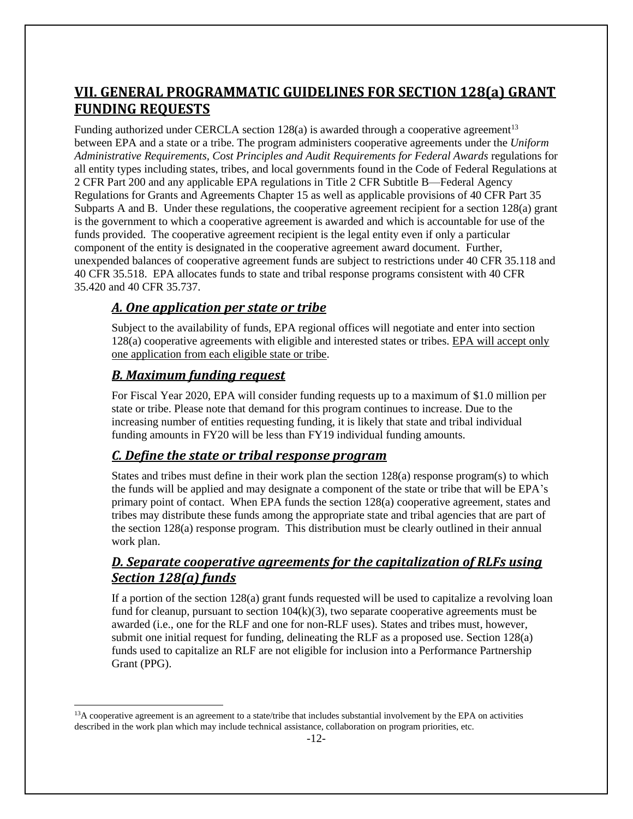# <span id="page-11-0"></span>**VII. GENERAL PROGRAMMATIC GUIDELINES FOR SECTION 128(a) GRANT FUNDING REQUESTS**

Funding authorized under CERCLA section  $128(a)$  is awarded through a cooperative agreement<sup>13</sup> between EPA and a state or a tribe. The program administers cooperative agreements under the *Uniform Administrative Requirements, Cost Principles and Audit Requirements for Federal Awards* regulations for all entity types including states, tribes, and local governments found in the Code of Federal Regulations at 2 CFR Part 200 and any applicable EPA regulations in Title 2 CFR Subtitle B—Federal Agency Regulations for Grants and Agreements Chapter 15 as well as applicable provisions of 40 CFR Part 35 Subparts A and B. Under these regulations, the cooperative agreement recipient for a section 128(a) grant is the government to which a cooperative agreement is awarded and which is accountable for use of the funds provided. The cooperative agreement recipient is the legal entity even if only a particular component of the entity is designated in the cooperative agreement award document. Further, unexpended balances of cooperative agreement funds are subject to restrictions under 40 CFR 35.118 and 40 CFR 35.518. EPA allocates funds to state and tribal response programs consistent with 40 CFR 35.420 and 40 CFR 35.737.

#### <span id="page-11-1"></span>*A. One application per state or tribe*

Subject to the availability of funds, EPA regional offices will negotiate and enter into section 128(a) cooperative agreements with eligible and interested states or tribes. EPA will accept only one application from each eligible state or tribe.

#### <span id="page-11-2"></span>*B. Maximum funding request*

l

For Fiscal Year 2020, EPA will consider funding requests up to a maximum of \$1.0 million per state or tribe. Please note that demand for this program continues to increase. Due to the increasing number of entities requesting funding, it is likely that state and tribal individual funding amounts in FY20 will be less than FY19 individual funding amounts.

#### <span id="page-11-3"></span>*C. Define the state or tribal response program*

States and tribes must define in their work plan the section 128(a) response program(s) to which the funds will be applied and may designate a component of the state or tribe that will be EPA's primary point of contact. When EPA funds the section 128(a) cooperative agreement, states and tribes may distribute these funds among the appropriate state and tribal agencies that are part of the section 128(a) response program. This distribution must be clearly outlined in their annual work plan.

#### <span id="page-11-4"></span>*D. Separate cooperative agreements for the capitalization of RLFs using Section 128(a) funds*

If a portion of the section 128(a) grant funds requested will be used to capitalize a revolving loan fund for cleanup, pursuant to section  $104(k)(3)$ , two separate cooperative agreements must be awarded (i.e., one for the RLF and one for non-RLF uses). States and tribes must, however, submit one initial request for funding, delineating the RLF as a proposed use. Section 128(a) funds used to capitalize an RLF are not eligible for inclusion into a Performance Partnership Grant (PPG).

 $13A$  cooperative agreement is an agreement to a state/tribe that includes substantial involvement by the EPA on activities described in the work plan which may include technical assistance, collaboration on program priorities, etc.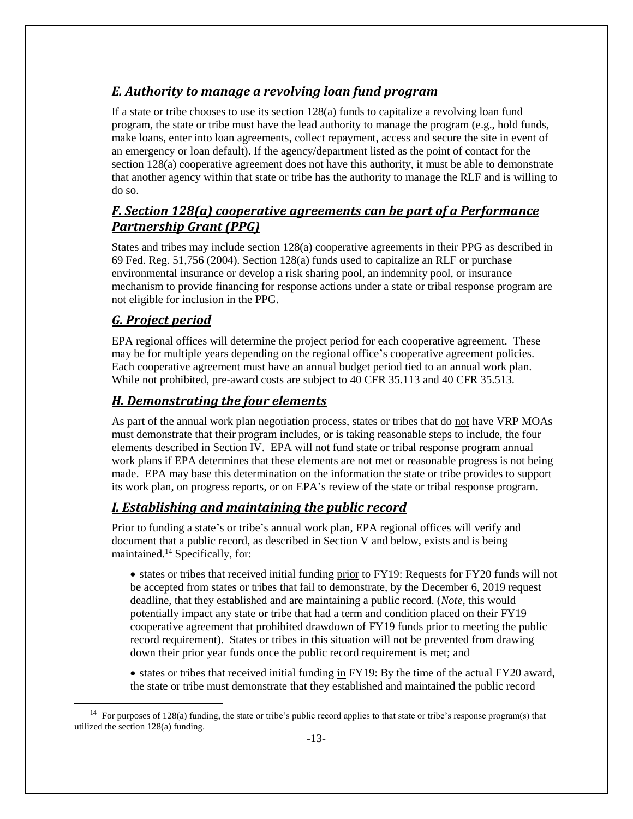### <span id="page-12-0"></span>*E. Authority to manage a revolving loan fund program*

If a state or tribe chooses to use its section 128(a) funds to capitalize a revolving loan fund program, the state or tribe must have the lead authority to manage the program (e.g., hold funds, make loans, enter into loan agreements, collect repayment, access and secure the site in event of an emergency or loan default). If the agency/department listed as the point of contact for the section 128(a) cooperative agreement does not have this authority, it must be able to demonstrate that another agency within that state or tribe has the authority to manage the RLF and is willing to do so.

### <span id="page-12-1"></span>*F. Section 128(a) cooperative agreements can be part of a Performance Partnership Grant (PPG)*

States and tribes may include section 128(a) cooperative agreements in their PPG as described in 69 Fed. Reg. 51,756 (2004). Section 128(a) funds used to capitalize an RLF or purchase environmental insurance or develop a risk sharing pool, an indemnity pool, or insurance mechanism to provide financing for response actions under a state or tribal response program are not eligible for inclusion in the PPG.

### <span id="page-12-2"></span>*G. Project period*

l

EPA regional offices will determine the project period for each cooperative agreement. These may be for multiple years depending on the regional office's cooperative agreement policies. Each cooperative agreement must have an annual budget period tied to an annual work plan. While not prohibited, pre-award costs are subject to 40 CFR 35.113 and 40 CFR 35.513.

### <span id="page-12-3"></span>*H. Demonstrating the four elements*

As part of the annual work plan negotiation process, states or tribes that do not have VRP MOAs must demonstrate that their program includes, or is taking reasonable steps to include, the four elements described in Section IV. EPA will not fund state or tribal response program annual work plans if EPA determines that these elements are not met or reasonable progress is not being made. EPA may base this determination on the information the state or tribe provides to support its work plan, on progress reports, or on EPA's review of the state or tribal response program.

## <span id="page-12-4"></span>*I. Establishing and maintaining the public record*

Prior to funding a state's or tribe's annual work plan, EPA regional offices will verify and document that a public record, as described in Section V and below, exists and is being maintained.<sup>14</sup> Specifically, for:

• states or tribes that received initial funding prior to FY19: Requests for FY20 funds will not be accepted from states or tribes that fail to demonstrate, by the December 6, 2019 request deadline, that they established and are maintaining a public record. (*Note*, this would potentially impact any state or tribe that had a term and condition placed on their FY19 cooperative agreement that prohibited drawdown of FY19 funds prior to meeting the public record requirement). States or tribes in this situation will not be prevented from drawing down their prior year funds once the public record requirement is met; and

• states or tribes that received initial funding in FY19: By the time of the actual FY20 award, the state or tribe must demonstrate that they established and maintained the public record

<sup>&</sup>lt;sup>14</sup> For purposes of 128(a) funding, the state or tribe's public record applies to that state or tribe's response program(s) that utilized the section 128(a) funding.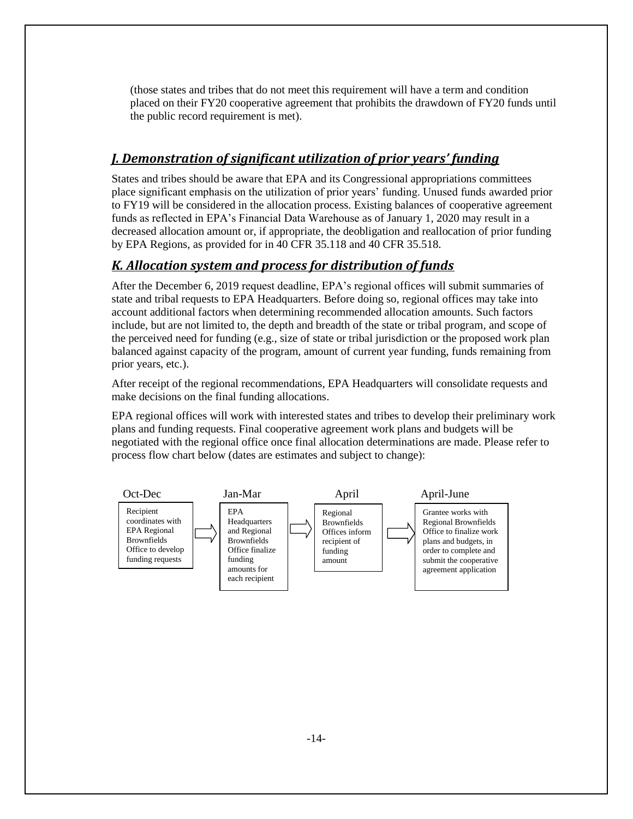(those states and tribes that do not meet this requirement will have a term and condition placed on their FY20 cooperative agreement that prohibits the drawdown of FY20 funds until the public record requirement is met).

#### <span id="page-13-0"></span>*J. Demonstration of significant utilization of prior years' funding*

States and tribes should be aware that EPA and its Congressional appropriations committees place significant emphasis on the utilization of prior years' funding. Unused funds awarded prior to FY19 will be considered in the allocation process. Existing balances of cooperative agreement funds as reflected in EPA's Financial Data Warehouse as of January 1, 2020 may result in a decreased allocation amount or, if appropriate, the deobligation and reallocation of prior funding by EPA Regions, as provided for in 40 CFR 35.118 and 40 CFR 35.518.

#### <span id="page-13-1"></span>*K. Allocation system and process for distribution of funds*

After the December 6, 2019 request deadline, EPA's regional offices will submit summaries of state and tribal requests to EPA Headquarters. Before doing so, regional offices may take into account additional factors when determining recommended allocation amounts. Such factors include, but are not limited to, the depth and breadth of the state or tribal program, and scope of the perceived need for funding (e.g., size of state or tribal jurisdiction or the proposed work plan balanced against capacity of the program, amount of current year funding, funds remaining from prior years, etc.).

After receipt of the regional recommendations, EPA Headquarters will consolidate requests and make decisions on the final funding allocations.

EPA regional offices will work with interested states and tribes to develop their preliminary work plans and funding requests. Final cooperative agreement work plans and budgets will be negotiated with the regional office once final allocation determinations are made. Please refer to process flow chart below (dates are estimates and subject to change):

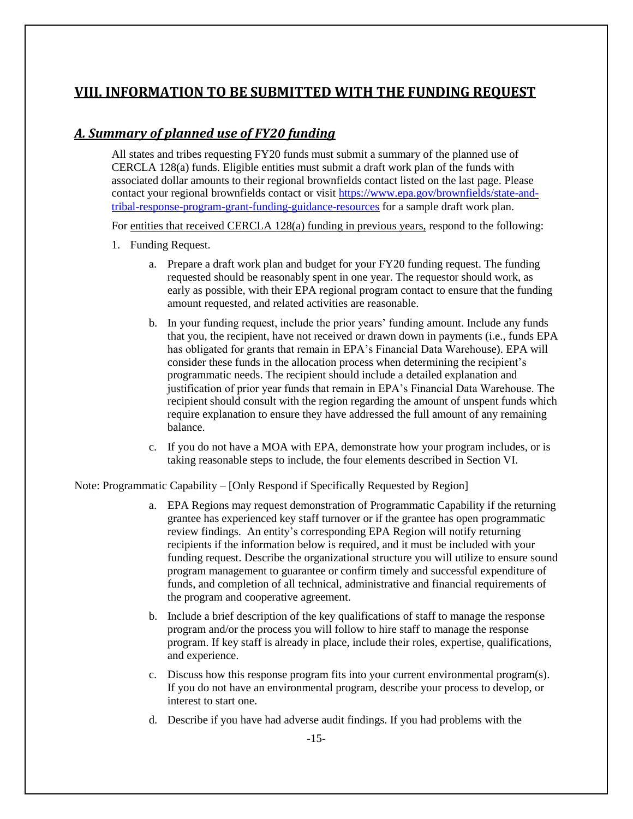### <span id="page-14-0"></span>**VIII. INFORMATION TO BE SUBMITTED WITH THE FUNDING REQUEST**

#### <span id="page-14-1"></span>*A. Summary of planned use of FY20 funding*

All states and tribes requesting FY20 funds must submit a summary of the planned use of CERCLA 128(a) funds. Eligible entities must submit a draft work plan of the funds with associated dollar amounts to their regional brownfields contact listed on the last page. Please contact your regional brownfields contact or visit [https://www.epa.gov/brownfields/state-and](https://www.epa.gov/brownfields/state-and-tribal-response-program-grant-funding-guidance-resources)[tribal-response-program-grant-funding-guidance-resources](https://www.epa.gov/brownfields/state-and-tribal-response-program-grant-funding-guidance-resources) for a sample draft work plan.

For entities that received CERCLA 128(a) funding in previous years, respond to the following:

- 1. Funding Request.
	- a. Prepare a draft work plan and budget for your FY20 funding request. The funding requested should be reasonably spent in one year. The requestor should work, as early as possible, with their EPA regional program contact to ensure that the funding amount requested, and related activities are reasonable.
	- b. In your funding request, include the prior years' funding amount. Include any funds that you, the recipient, have not received or drawn down in payments (i.e., funds EPA has obligated for grants that remain in EPA's Financial Data Warehouse). EPA will consider these funds in the allocation process when determining the recipient's programmatic needs. The recipient should include a detailed explanation and justification of prior year funds that remain in EPA's Financial Data Warehouse. The recipient should consult with the region regarding the amount of unspent funds which require explanation to ensure they have addressed the full amount of any remaining balance.
	- c. If you do not have a MOA with EPA, demonstrate how your program includes, or is taking reasonable steps to include, the four elements described in Section VI.

Note: Programmatic Capability – [Only Respond if Specifically Requested by Region]

- a. EPA Regions may request demonstration of Programmatic Capability if the returning grantee has experienced key staff turnover or if the grantee has open programmatic review findings. An entity's corresponding EPA Region will notify returning recipients if the information below is required, and it must be included with your funding request. Describe the organizational structure you will utilize to ensure sound program management to guarantee or confirm timely and successful expenditure of funds, and completion of all technical, administrative and financial requirements of the program and cooperative agreement.
- b. Include a brief description of the key qualifications of staff to manage the response program and/or the process you will follow to hire staff to manage the response program. If key staff is already in place, include their roles, expertise, qualifications, and experience.
- c. Discuss how this response program fits into your current environmental program(s). If you do not have an environmental program, describe your process to develop, or interest to start one.
- d. Describe if you have had adverse audit findings. If you had problems with the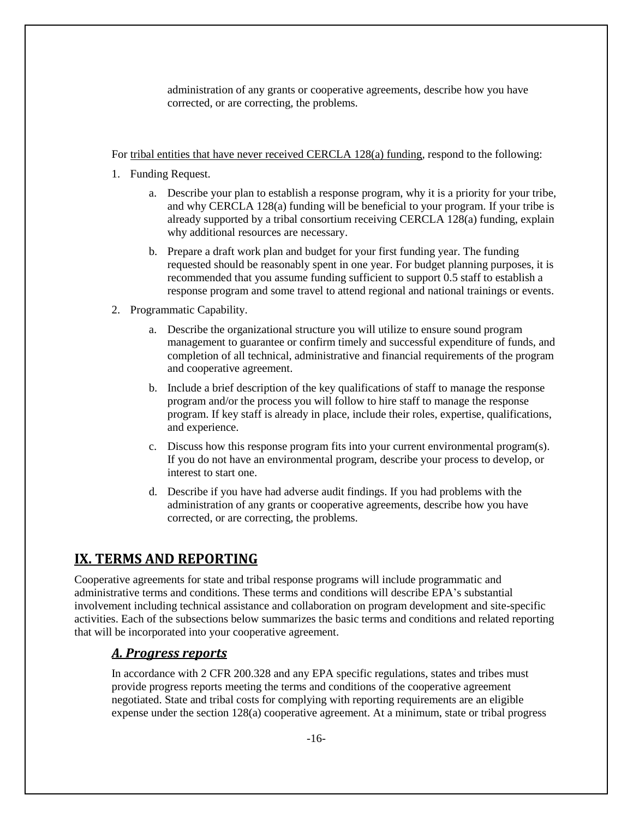administration of any grants or cooperative agreements, describe how you have corrected, or are correcting, the problems.

For tribal entities that have never received CERCLA 128(a) funding, respond to the following:

- 1. Funding Request.
	- a. Describe your plan to establish a response program, why it is a priority for your tribe, and why CERCLA 128(a) funding will be beneficial to your program. If your tribe is already supported by a tribal consortium receiving CERCLA 128(a) funding, explain why additional resources are necessary.
	- b. Prepare a draft work plan and budget for your first funding year. The funding requested should be reasonably spent in one year. For budget planning purposes, it is recommended that you assume funding sufficient to support 0.5 staff to establish a response program and some travel to attend regional and national trainings or events.
- 2. Programmatic Capability.
	- a. Describe the organizational structure you will utilize to ensure sound program management to guarantee or confirm timely and successful expenditure of funds, and completion of all technical, administrative and financial requirements of the program and cooperative agreement.
	- b. Include a brief description of the key qualifications of staff to manage the response program and/or the process you will follow to hire staff to manage the response program. If key staff is already in place, include their roles, expertise, qualifications, and experience.
	- c. Discuss how this response program fits into your current environmental program(s). If you do not have an environmental program, describe your process to develop, or interest to start one.
	- d. Describe if you have had adverse audit findings. If you had problems with the administration of any grants or cooperative agreements, describe how you have corrected, or are correcting, the problems.

# <span id="page-15-0"></span>**IX. TERMS AND REPORTING**

Cooperative agreements for state and tribal response programs will include programmatic and administrative terms and conditions. These terms and conditions will describe EPA's substantial involvement including technical assistance and collaboration on program development and site-specific activities. Each of the subsections below summarizes the basic terms and conditions and related reporting that will be incorporated into your cooperative agreement.

#### <span id="page-15-1"></span>*A. Progress reports*

In accordance with 2 CFR 200.328 and any EPA specific regulations, states and tribes must provide progress reports meeting the terms and conditions of the cooperative agreement negotiated. State and tribal costs for complying with reporting requirements are an eligible expense under the section 128(a) cooperative agreement. At a minimum, state or tribal progress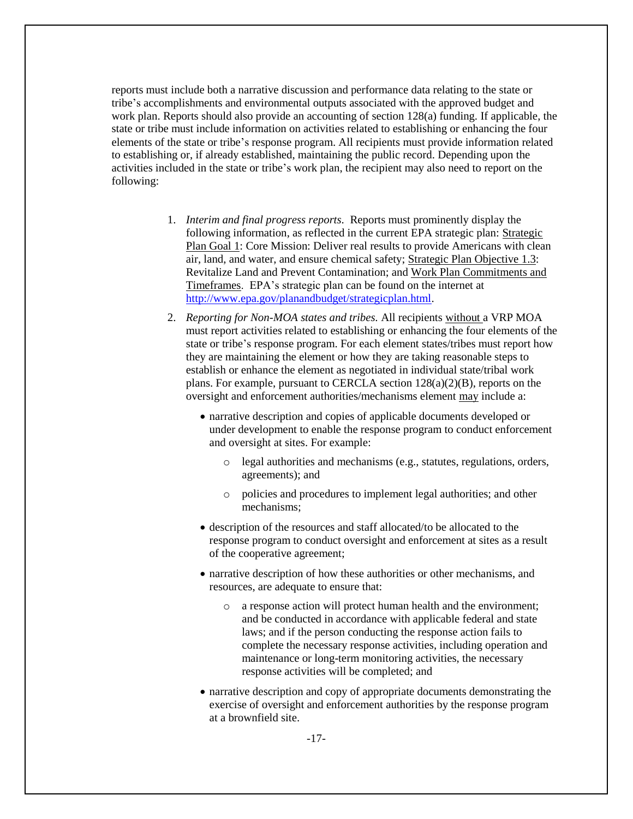reports must include both a narrative discussion and performance data relating to the state or tribe's accomplishments and environmental outputs associated with the approved budget and work plan. Reports should also provide an accounting of section 128(a) funding. If applicable, the state or tribe must include information on activities related to establishing or enhancing the four elements of the state or tribe's response program. All recipients must provide information related to establishing or, if already established, maintaining the public record. Depending upon the activities included in the state or tribe's work plan, the recipient may also need to report on the following:

- 1. *Interim and final progress reports.* Reports must prominently display the following information, as reflected in the current EPA strategic plan: Strategic Plan Goal 1: Core Mission: Deliver real results to provide Americans with clean air, land, and water, and ensure chemical safety; Strategic Plan Objective 1.3: Revitalize Land and Prevent Contamination; and Work Plan Commitments and Timeframes. EPA's strategic plan can be found on the internet at [http://www.epa.gov/planandbudget/strategicplan.html.](http://www.epa.gov/planandbudget/strategicplan.html)
- 2. *Reporting for Non-MOA states and tribes.* All recipients without a VRP MOA must report activities related to establishing or enhancing the four elements of the state or tribe's response program. For each element states/tribes must report how they are maintaining the element or how they are taking reasonable steps to establish or enhance the element as negotiated in individual state/tribal work plans. For example, pursuant to CERCLA section 128(a)(2)(B), reports on the oversight and enforcement authorities/mechanisms element may include a:
	- narrative description and copies of applicable documents developed or under development to enable the response program to conduct enforcement and oversight at sites. For example:
		- o legal authorities and mechanisms (e.g., statutes, regulations, orders, agreements); and
		- o policies and procedures to implement legal authorities; and other mechanisms;
	- description of the resources and staff allocated/to be allocated to the response program to conduct oversight and enforcement at sites as a result of the cooperative agreement;
	- narrative description of how these authorities or other mechanisms, and resources, are adequate to ensure that:
		- o a response action will protect human health and the environment; and be conducted in accordance with applicable federal and state laws; and if the person conducting the response action fails to complete the necessary response activities, including operation and maintenance or long-term monitoring activities, the necessary response activities will be completed; and
	- narrative description and copy of appropriate documents demonstrating the exercise of oversight and enforcement authorities by the response program at a brownfield site.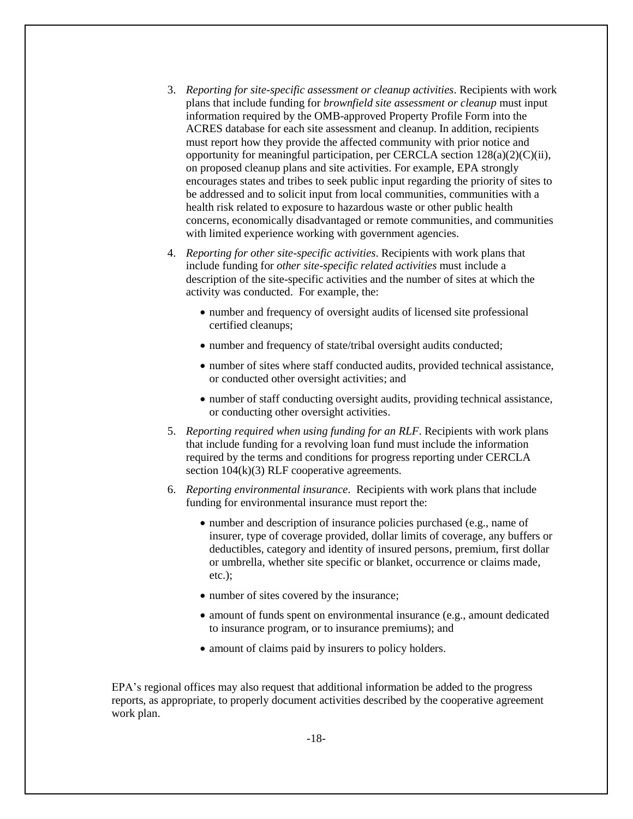- 3. *Reporting for site-specific assessment or cleanup activities*. Recipients with work plans that include funding for *brownfield site assessment or cleanup* must input information required by the OMB-approved Property Profile Form into the ACRES database for each site assessment and cleanup. In addition, recipients must report how they provide the affected community with prior notice and opportunity for meaningful participation, per CERCLA section  $128(a)(2)(C)(ii)$ , on proposed cleanup plans and site activities. For example, EPA strongly encourages states and tribes to seek public input regarding the priority of sites to be addressed and to solicit input from local communities, communities with a health risk related to exposure to hazardous waste or other public health concerns, economically disadvantaged or remote communities, and communities with limited experience working with government agencies.
- 4. *Reporting for other site-specific activities*. Recipients with work plans that include funding for *other site-specific related activities* must include a description of the site-specific activities and the number of sites at which the activity was conducted. For example, the:
	- number and frequency of oversight audits of licensed site professional certified cleanups;
	- number and frequency of state/tribal oversight audits conducted;
	- number of sites where staff conducted audits, provided technical assistance, or conducted other oversight activities; and
	- number of staff conducting oversight audits, providing technical assistance, or conducting other oversight activities.
- 5. *Reporting required when using funding for an RLF*. Recipients with work plans that include funding for a revolving loan fund must include the information required by the terms and conditions for progress reporting under CERCLA section 104(k)(3) RLF cooperative agreements.
- 6. *Reporting environmental insurance*. Recipients with work plans that include funding for environmental insurance must report the:
	- number and description of insurance policies purchased (e.g., name of insurer, type of coverage provided, dollar limits of coverage, any buffers or deductibles, category and identity of insured persons, premium, first dollar or umbrella, whether site specific or blanket, occurrence or claims made, etc.);
	- number of sites covered by the insurance;
	- amount of funds spent on environmental insurance (e.g., amount dedicated to insurance program, or to insurance premiums); and
	- amount of claims paid by insurers to policy holders.

EPA's regional offices may also request that additional information be added to the progress reports, as appropriate, to properly document activities described by the cooperative agreement work plan.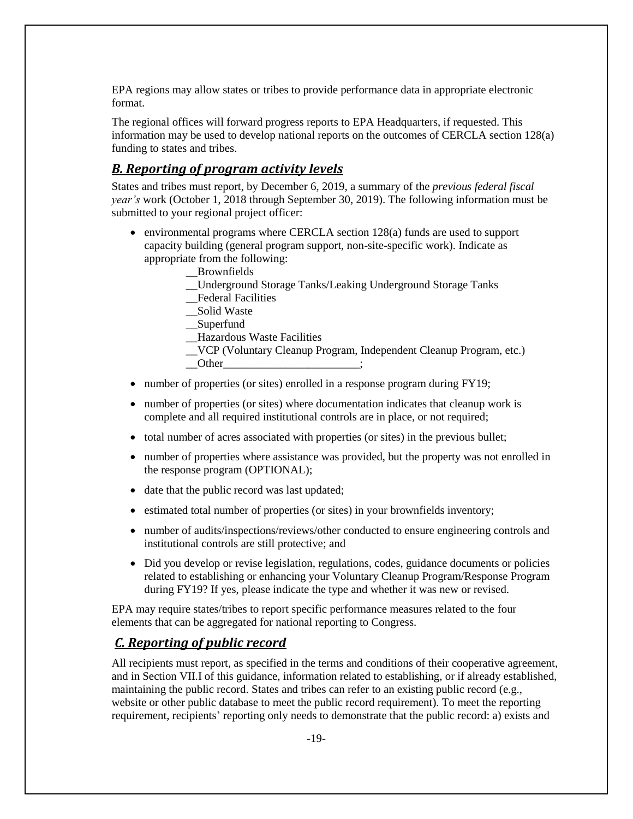EPA regions may allow states or tribes to provide performance data in appropriate electronic format.

The regional offices will forward progress reports to EPA Headquarters, if requested. This information may be used to develop national reports on the outcomes of CERCLA section 128(a) funding to states and tribes.

#### <span id="page-18-0"></span>*B. Reporting of program activity levels*

States and tribes must report, by December 6, 2019, a summary of the *previous federal fiscal year's* work (October 1, 2018 through September 30, 2019). The following information must be submitted to your regional project officer:

- environmental programs where CERCLA section 128(a) funds are used to support capacity building (general program support, non-site-specific work). Indicate as appropriate from the following:
	- \_\_Brownfields
	- \_\_Underground Storage Tanks/Leaking Underground Storage Tanks
	- \_\_Federal Facilities
	- \_\_Solid Waste
	- \_\_Superfund
	- \_\_Hazardous Waste Facilities
	- \_\_VCP (Voluntary Cleanup Program, Independent Cleanup Program, etc.)
	- $\rule{1em}{0}$  Other
- number of properties (or sites) enrolled in a response program during FY19;
- number of properties (or sites) where documentation indicates that cleanup work is complete and all required institutional controls are in place, or not required;
- total number of acres associated with properties (or sites) in the previous bullet;
- number of properties where assistance was provided, but the property was not enrolled in the response program (OPTIONAL);
- date that the public record was last updated;
- estimated total number of properties (or sites) in your brownfields inventory;
- number of audits/inspections/reviews/other conducted to ensure engineering controls and institutional controls are still protective; and
- Did you develop or revise legislation, regulations, codes, guidance documents or policies related to establishing or enhancing your Voluntary Cleanup Program/Response Program during FY19? If yes, please indicate the type and whether it was new or revised.

EPA may require states/tribes to report specific performance measures related to the four elements that can be aggregated for national reporting to Congress.

#### <span id="page-18-1"></span>*C. Reporting of public record*

All recipients must report, as specified in the terms and conditions of their cooperative agreement, and in Section VII.I of this guidance, information related to establishing, or if already established, maintaining the public record. States and tribes can refer to an existing public record (e.g., website or other public database to meet the public record requirement). To meet the reporting requirement, recipients' reporting only needs to demonstrate that the public record: a) exists and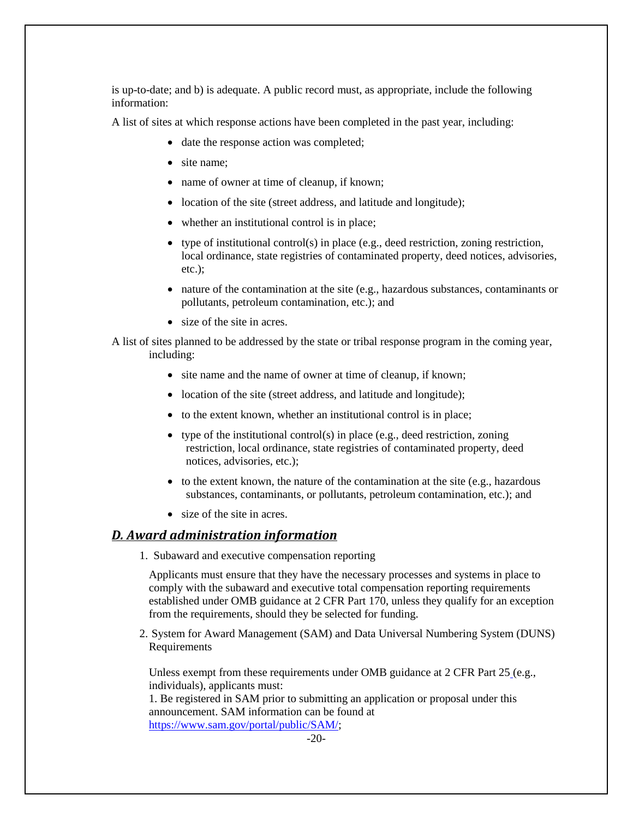is up-to-date; and b) is adequate. A public record must, as appropriate, include the following information:

A list of sites at which response actions have been completed in the past year, including:

- date the response action was completed;
- site name:
- name of owner at time of cleanup, if known;
- location of the site (street address, and latitude and longitude);
- whether an institutional control is in place;
- type of institutional control(s) in place (e.g., deed restriction, zoning restriction, local ordinance, state registries of contaminated property, deed notices, advisories, etc.);
- nature of the contamination at the site (e.g., hazardous substances, contaminants or pollutants, petroleum contamination, etc.); and
- size of the site in acres.

A list of sites planned to be addressed by the state or tribal response program in the coming year, including:

- site name and the name of owner at time of cleanup, if known;
- location of the site (street address, and latitude and longitude);
- to the extent known, whether an institutional control is in place;
- type of the institutional control(s) in place (e.g., deed restriction, zoning restriction, local ordinance, state registries of contaminated property, deed notices, advisories, etc.);
- to the extent known, the nature of the contamination at the site (e.g., hazardous substances, contaminants, or pollutants, petroleum contamination, etc.); and
- size of the site in acres.

#### <span id="page-19-0"></span>*D. Award administration information*

1. Subaward and executive compensation reporting

Applicants must ensure that they have the necessary processes and systems in place to comply with the subaward and executive total compensation reporting requirements established under OMB guidance at 2 CFR Part 170, unless they qualify for an exception from the requirements, should they be selected for funding.

2. System for Award Management (SAM) and Data Universal Numbering System (DUNS) Requirements

Unless exempt from these requirements under OMB guidance at 2 CFR Part 25 (e.g., individuals), applicants must:

1. Be registered in SAM prior to submitting an application or proposal under this announcement. SAM information can be found at [https://www.sam.gov/portal/public/SAM/;](https://www.sam.gov/portal/public/SAM/)

-20-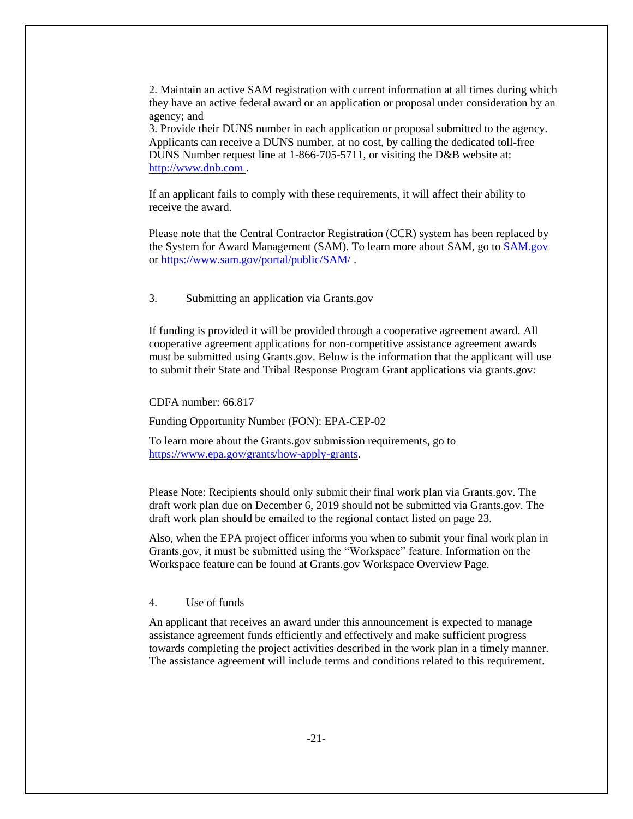2. Maintain an active SAM registration with current information at all times during which they have an active federal award or an application or proposal under consideration by an agency; and

3. Provide their DUNS number in each application or proposal submitted to the agency. Applicants can receive a DUNS number, at no cost, by calling the dedicated toll-free DUNS Number request line at 1-866-705-5711, or visiting the D&B website at: [http://www.dnb.com .](http://www.dnb.com/)

If an applicant fails to comply with these requirements, it will affect their ability to receive the award.

Please note that the Central Contractor Registration (CCR) system has been replaced by the System for Award Management (SAM). To learn more about SAM, go to [SAM.gov](https://www.sam.gov/sam/)  or [https://www.sam.gov/portal/public/SAM/ .](https://www.sam.gov/portal/public/SAM/)

3. Submitting an application via Grants.gov

If funding is provided it will be provided through a cooperative agreement award. All cooperative agreement applications for non-competitive assistance agreement awards must be submitted using Grants.gov. Below is the information that the applicant will use to submit their State and Tribal Response Program Grant applications via grants.gov:

CDFA number: 66.817

Funding Opportunity Number (FON): EPA-CEP-02

To learn more about the Grants.gov submission requirements, go to [https://www.epa.gov/grants/how-apply-grants.](https://www.epa.gov/grants/how-apply-grants)

Please Note: Recipients should only submit their final work plan via Grants.gov. The draft work plan due on December 6, 2019 should not be submitted via Grants.gov. The draft work plan should be emailed to the regional contact listed on page 23.

Also, when the EPA project officer informs you when to submit your final work plan in Grants.gov, it must be submitted using the "Workspace" feature. Information on the Workspace feature can be found at Grants.gov Workspace Overview Page.

4. Use of funds

An applicant that receives an award under this announcement is expected to manage assistance agreement funds efficiently and effectively and make sufficient progress towards completing the project activities described in the work plan in a timely manner. The assistance agreement will include terms and conditions related to this requirement.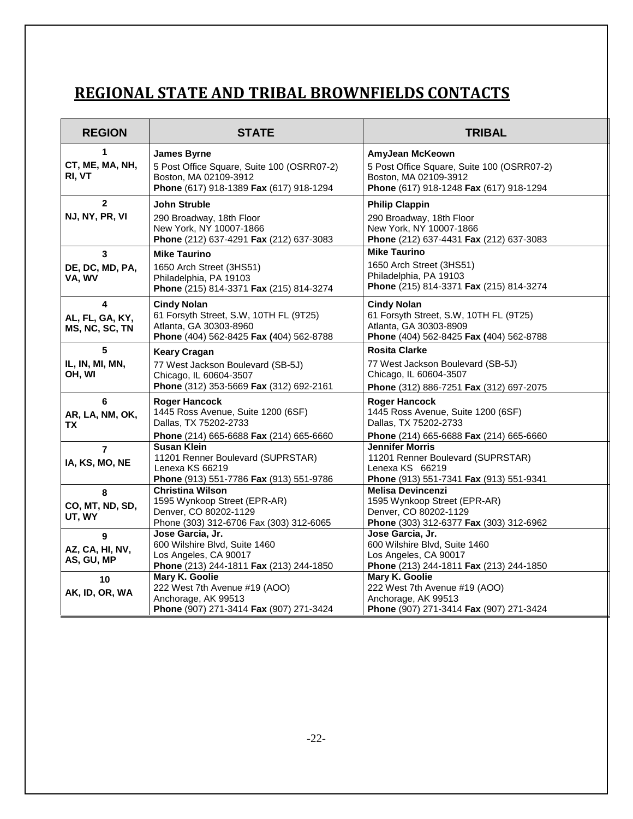# <span id="page-21-0"></span>**REGIONAL STATE AND TRIBAL BROWNFIELDS CONTACTS**

| <b>REGION</b>                             | <b>STATE</b>                                                                                                                         | <b>TRIBAL</b>                                                                                                                     |
|-------------------------------------------|--------------------------------------------------------------------------------------------------------------------------------------|-----------------------------------------------------------------------------------------------------------------------------------|
| 1<br>CT, ME, MA, NH,<br>RI, VT            | <b>James Byrne</b><br>5 Post Office Square, Suite 100 (OSRR07-2)<br>Boston, MA 02109-3912<br>Phone (617) 918-1389 Fax (617) 918-1294 | AmyJean McKeown<br>5 Post Office Square, Suite 100 (OSRR07-2)<br>Boston, MA 02109-3912<br>Phone (617) 918-1248 Fax (617) 918-1294 |
| $\mathbf{2}$<br>NJ, NY, PR, VI            | John Struble<br>290 Broadway, 18th Floor<br>New York, NY 10007-1866<br>Phone (212) 637-4291 Fax (212) 637-3083                       | <b>Philip Clappin</b><br>290 Broadway, 18th Floor<br>New York, NY 10007-1866<br>Phone (212) 637-4431 Fax (212) 637-3083           |
| $\mathbf{3}$<br>DE, DC, MD, PA,<br>VA, WV | <b>Mike Taurino</b><br>1650 Arch Street (3HS51)<br>Philadelphia, PA 19103<br>Phone (215) 814-3371 Fax (215) 814-3274                 | <b>Mike Taurino</b><br>1650 Arch Street (3HS51)<br>Philadelphia, PA 19103<br>Phone (215) 814-3371 Fax (215) 814-3274              |
| 4<br>AL, FL, GA, KY,<br>MS, NC, SC, TN    | <b>Cindy Nolan</b><br>61 Forsyth Street, S.W, 10TH FL (9T25)<br>Atlanta, GA 30303-8960<br>Phone (404) 562-8425 Fax (404) 562-8788    | <b>Cindy Nolan</b><br>61 Forsyth Street, S.W, 10TH FL (9T25)<br>Atlanta, GA 30303-8909<br>Phone (404) 562-8425 Fax (404) 562-8788 |
| 5<br>IL, IN, MI, MN,<br>OH, WI            | <b>Keary Cragan</b><br>77 West Jackson Boulevard (SB-5J)<br>Chicago, IL 60604-3507<br>Phone (312) 353-5669 Fax (312) 692-2161        | <b>Rosita Clarke</b><br>77 West Jackson Boulevard (SB-5J)<br>Chicago, IL 60604-3507<br>Phone (312) 886-7251 Fax (312) 697-2075    |
| 6<br>AR, LA, NM, OK,<br>ТX                | <b>Roger Hancock</b><br>1445 Ross Avenue, Suite 1200 (6SF)<br>Dallas, TX 75202-2733<br>Phone (214) 665-6688 Fax (214) 665-6660       | <b>Roger Hancock</b><br>1445 Ross Avenue, Suite 1200 (6SF)<br>Dallas, TX 75202-2733<br>Phone (214) 665-6688 Fax (214) 665-6660    |
| $\overline{7}$<br>IA, KS, MO, NE          | <b>Susan Klein</b><br>11201 Renner Boulevard (SUPRSTAR)<br>Lenexa KS 66219<br>Phone (913) 551-7786 Fax (913) 551-9786                | <b>Jennifer Morris</b><br>11201 Renner Boulevard (SUPRSTAR)<br>Lenexa KS 66219<br>Phone (913) 551-7341 Fax (913) 551-9341         |
| 8<br>CO, MT, ND, SD,<br>UT, WY            | <b>Christina Wilson</b><br>1595 Wynkoop Street (EPR-AR)<br>Denver, CO 80202-1129<br>Phone (303) 312-6706 Fax (303) 312-6065          | <b>Melisa Devincenzi</b><br>1595 Wynkoop Street (EPR-AR)<br>Denver, CO 80202-1129<br>Phone (303) 312-6377 Fax (303) 312-6962      |
| 9<br>AZ, CA, HI, NV,<br>AS, GU, MP        | Jose Garcia, Jr.<br>600 Wilshire Blvd, Suite 1460<br>Los Angeles, CA 90017<br>Phone (213) 244-1811 Fax (213) 244-1850                | Jose Garcia, Jr.<br>600 Wilshire Blvd, Suite 1460<br>Los Angeles, CA 90017<br>Phone (213) 244-1811 Fax (213) 244-1850             |
| 10<br>AK, ID, OR, WA                      | Mary K. Goolie<br>222 West 7th Avenue #19 (AOO)<br>Anchorage, AK 99513<br>Phone (907) 271-3414 Fax (907) 271-3424                    | Mary K. Goolie<br>222 West 7th Avenue #19 (AOO)<br>Anchorage, AK 99513<br>Phone (907) 271-3414 Fax (907) 271-3424                 |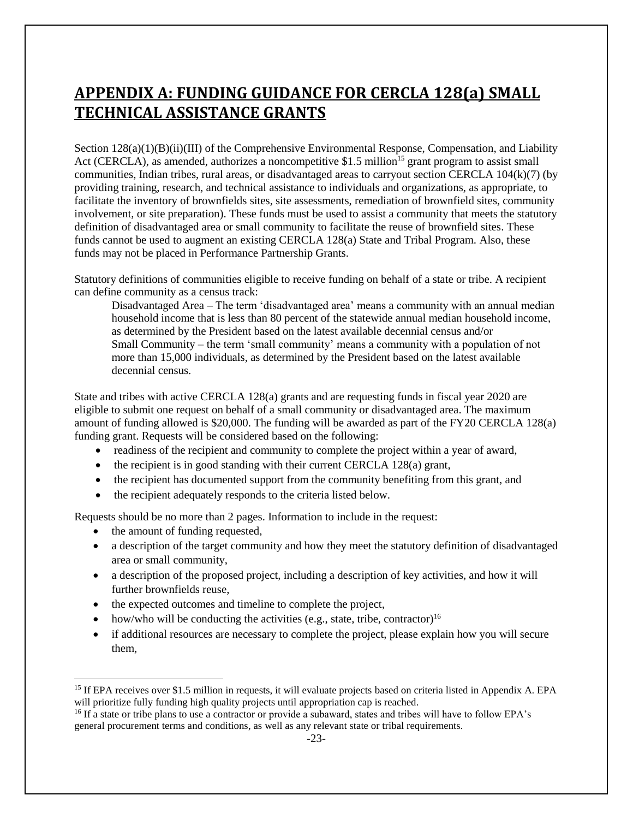# <span id="page-22-0"></span>**APPENDIX A: FUNDING GUIDANCE FOR CERCLA 128(a) SMALL TECHNICAL ASSISTANCE GRANTS**

Section 128(a)(1)(B)(ii)(III) of the Comprehensive Environmental Response, Compensation, and Liability Act (CERCLA), as amended, authorizes a noncompetitive \$1.5 million<sup>15</sup> grant program to assist small communities, Indian tribes, rural areas, or disadvantaged areas to carryout section CERCLA 104(k)(7) (by providing training, research, and technical assistance to individuals and organizations, as appropriate, to facilitate the inventory of brownfields sites, site assessments, remediation of brownfield sites, community involvement, or site preparation). These funds must be used to assist a community that meets the statutory definition of disadvantaged area or small community to facilitate the reuse of brownfield sites. These funds cannot be used to augment an existing CERCLA 128(a) State and Tribal Program. Also, these funds may not be placed in Performance Partnership Grants.

Statutory definitions of communities eligible to receive funding on behalf of a state or tribe. A recipient can define community as a census track:

Disadvantaged Area – The term 'disadvantaged area' means a community with an annual median household income that is less than 80 percent of the statewide annual median household income, as determined by the President based on the latest available decennial census and/or Small Community – the term 'small community' means a community with a population of not more than 15,000 individuals, as determined by the President based on the latest available decennial census.

State and tribes with active CERCLA 128(a) grants and are requesting funds in fiscal year 2020 are eligible to submit one request on behalf of a small community or disadvantaged area. The maximum amount of funding allowed is \$20,000. The funding will be awarded as part of the FY20 CERCLA 128(a) funding grant. Requests will be considered based on the following:

- readiness of the recipient and community to complete the project within a year of award,
- the recipient is in good standing with their current CERCLA 128(a) grant,
- the recipient has documented support from the community benefiting from this grant, and
- the recipient adequately responds to the criteria listed below.

Requests should be no more than 2 pages. Information to include in the request:

• the amount of funding requested,

- a description of the target community and how they meet the statutory definition of disadvantaged area or small community,
- a description of the proposed project, including a description of key activities, and how it will further brownfields reuse,
- the expected outcomes and timeline to complete the project,
- how/who will be conducting the activities (e.g., state, tribe, contractor)<sup>16</sup>
- if additional resources are necessary to complete the project, please explain how you will secure them,

<sup>&</sup>lt;sup>15</sup> If EPA receives over \$1.5 million in requests, it will evaluate projects based on criteria listed in Appendix A. EPA will prioritize fully funding high quality projects until appropriation cap is reached.

<sup>&</sup>lt;sup>16</sup> If a state or tribe plans to use a contractor or provide a subaward, states and tribes will have to follow EPA's general procurement terms and conditions, as well as any relevant state or tribal requirements.